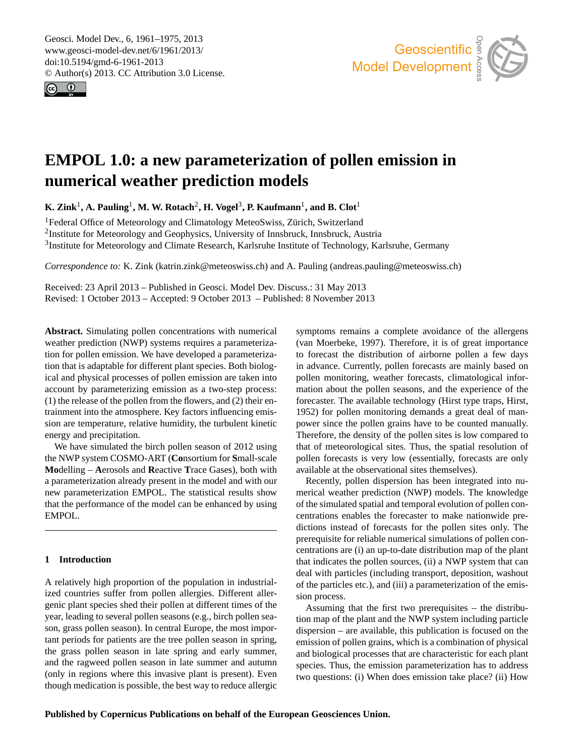<span id="page-0-0"></span>Geosci. Model Dev., 6, 1961–1975, 2013 www.geosci-model-dev.net/6/1961/2013/ doi:10.5194/gmd-6-1961-2013 © Author(s) 2013. CC Attribution 3.0 License.





# **EMPOL 1.0: a new parameterization of pollen emission in numerical weather prediction models**

 $\mathbf{K}.$  Zink<sup>1</sup>, A. Pauling<sup>1</sup>, M. W. Rotach<sup>2</sup>, H. Vogel<sup>3</sup>, P. Kaufmann<sup>1</sup>, and B. Clot<sup>1</sup>

<sup>1</sup>Federal Office of Meteorology and Climatology MeteoSwiss, Zürich, Switzerland <sup>2</sup>Institute for Meteorology and Geophysics, University of Innsbruck, Innsbruck, Austria <sup>3</sup>Institute for Meteorology and Climate Research, Karlsruhe Institute of Technology, Karlsruhe, Germany

*Correspondence to:* K. Zink (katrin.zink@meteoswiss.ch) and A. Pauling (andreas.pauling@meteoswiss.ch)

Received: 23 April 2013 – Published in Geosci. Model Dev. Discuss.: 31 May 2013 Revised: 1 October 2013 – Accepted: 9 October 2013 – Published: 8 November 2013

**Abstract.** Simulating pollen concentrations with numerical weather prediction (NWP) systems requires a parameterization for pollen emission. We have developed a parameterization that is adaptable for different plant species. Both biological and physical processes of pollen emission are taken into account by parameterizing emission as a two-step process: (1) the release of the pollen from the flowers, and (2) their entrainment into the atmosphere. Key factors influencing emission are temperature, relative humidity, the turbulent kinetic energy and precipitation.

We have simulated the birch pollen season of 2012 using the NWP system COSMO-ART (**Co**nsortium for **S**mall-scale **Mo**delling – **A**erosols and **R**eactive **T**race Gases), both with a parameterization already present in the model and with our new parameterization EMPOL. The statistical results show that the performance of the model can be enhanced by using EMPOL.

# **1 Introduction**

A relatively high proportion of the population in industrialized countries suffer from pollen allergies. Different allergenic plant species shed their pollen at different times of the year, leading to several pollen seasons (e.g., birch pollen season, grass pollen season). In central Europe, the most important periods for patients are the tree pollen season in spring, the grass pollen season in late spring and early summer, and the ragweed pollen season in late summer and autumn (only in regions where this invasive plant is present). Even though medication is possible, the best way to reduce allergic symptoms remains a complete avoidance of the allergens [\(van Moerbeke,](#page-14-0) [1997\)](#page-14-0). Therefore, it is of great importance to forecast the distribution of airborne pollen a few days in advance. Currently, pollen forecasts are mainly based on pollen monitoring, weather forecasts, climatological information about the pollen seasons, and the experience of the forecaster. The available technology (Hirst type traps, [Hirst,](#page-13-0) [1952\)](#page-13-0) for pollen monitoring demands a great deal of manpower since the pollen grains have to be counted manually. Therefore, the density of the pollen sites is low compared to that of meteorological sites. Thus, the spatial resolution of pollen forecasts is very low (essentially, forecasts are only available at the observational sites themselves).

Recently, pollen dispersion has been integrated into numerical weather prediction (NWP) models. The knowledge of the simulated spatial and temporal evolution of pollen concentrations enables the forecaster to make nationwide predictions instead of forecasts for the pollen sites only. The prerequisite for reliable numerical simulations of pollen concentrations are (i) an up-to-date distribution map of the plant that indicates the pollen sources, (ii) a NWP system that can deal with particles (including transport, deposition, washout of the particles etc.), and (iii) a parameterization of the emission process.

Assuming that the first two prerequisites – the distribution map of the plant and the NWP system including particle dispersion – are available, this publication is focused on the emission of pollen grains, which is a combination of physical and biological processes that are characteristic for each plant species. Thus, the emission parameterization has to address two questions: (i) When does emission take place? (ii) How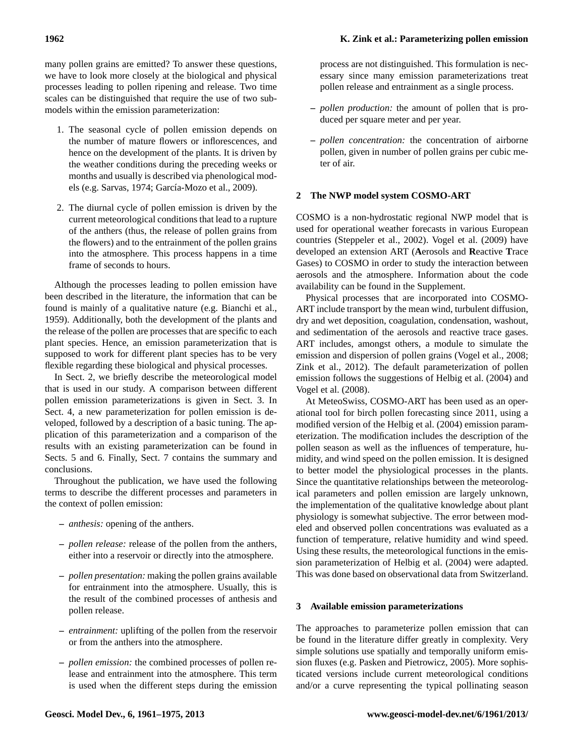many pollen grains are emitted? To answer these questions, we have to look more closely at the biological and physical processes leading to pollen ripening and release. Two time scales can be distinguished that require the use of two submodels within the emission parameterization:

- 1. The seasonal cycle of pollen emission depends on the number of mature flowers or inflorescences, and hence on the development of the plants. It is driven by the weather conditions during the preceding weeks or months and usually is described via phenological models (e.g. [Sarvas,](#page-14-1) [1974;](#page-14-1) [García-Mozo et al.,](#page-13-1) [2009\)](#page-13-1).
- 2. The diurnal cycle of pollen emission is driven by the current meteorological conditions that lead to a rupture of the anthers (thus, the release of pollen grains from the flowers) and to the entrainment of the pollen grains into the atmosphere. This process happens in a time frame of seconds to hours.

Although the processes leading to pollen emission have been described in the literature, the information that can be found is mainly of a qualitative nature (e.g. [Bianchi et al.,](#page-13-2) [1959\)](#page-13-2). Additionally, both the development of the plants and the release of the pollen are processes that are specific to each plant species. Hence, an emission parameterization that is supposed to work for different plant species has to be very flexible regarding these biological and physical processes.

In Sect. [2,](#page-1-0) we briefly describe the meteorological model that is used in our study. A comparison between different pollen emission parameterizations is given in Sect. [3.](#page-1-1) In Sect. [4,](#page-3-0) a new parameterization for pollen emission is developed, followed by a description of a basic tuning. The application of this parameterization and a comparison of the results with an existing parameterization can be found in Sects. [5](#page-6-0) and [6.](#page-7-0) Finally, Sect. [7](#page-12-0) contains the summary and conclusions.

Throughout the publication, we have used the following terms to describe the different processes and parameters in the context of pollen emission:

- **–** *anthesis:* opening of the anthers.
- **–** *pollen release:* release of the pollen from the anthers, either into a reservoir or directly into the atmosphere.
- **–** *pollen presentation:* making the pollen grains available for entrainment into the atmosphere. Usually, this is the result of the combined processes of anthesis and pollen release.
- **–** *entrainment:* uplifting of the pollen from the reservoir or from the anthers into the atmosphere.
- **–** *pollen emission:* the combined processes of pollen release and entrainment into the atmosphere. This term is used when the different steps during the emission

process are not distinguished. This formulation is necessary since many emission parameterizations treat pollen release and entrainment as a single process.

- **–** *pollen production:* the amount of pollen that is produced per square meter and per year.
- **–** *pollen concentration:* the concentration of airborne pollen, given in number of pollen grains per cubic meter of air.

# <span id="page-1-0"></span>**2 The NWP model system COSMO-ART**

COSMO is a non-hydrostatic regional NWP model that is used for operational weather forecasts in various European countries [\(Steppeler et al.,](#page-14-2) [2002\)](#page-14-2). [Vogel et al.](#page-14-3) [\(2009\)](#page-14-3) have developed an extension ART (**A**erosols and **R**eactive **T**race Gases) to COSMO in order to study the interaction between aerosols and the atmosphere. Information about the code availability can be found in the Supplement.

Physical processes that are incorporated into COSMO-ART include transport by the mean wind, turbulent diffusion, dry and wet deposition, coagulation, condensation, washout, and sedimentation of the aerosols and reactive trace gases. ART includes, amongst others, a module to simulate the emission and dispersion of pollen grains [\(Vogel et al.,](#page-14-4) [2008;](#page-14-4) [Zink et al.,](#page-14-5) [2012\)](#page-14-5). The default parameterization of pollen emission follows the suggestions of [Helbig et al.](#page-13-3) [\(2004\)](#page-13-3) and [Vogel et al.](#page-14-4) [\(2008\)](#page-14-4).

At MeteoSwiss, COSMO-ART has been used as an operational tool for birch pollen forecasting since 2011, using a modified version of the [Helbig et al.](#page-13-3) [\(2004\)](#page-13-3) emission parameterization. The modification includes the description of the pollen season as well as the influences of temperature, humidity, and wind speed on the pollen emission. It is designed to better model the physiological processes in the plants. Since the quantitative relationships between the meteorological parameters and pollen emission are largely unknown, the implementation of the qualitative knowledge about plant physiology is somewhat subjective. The error between modeled and observed pollen concentrations was evaluated as a function of temperature, relative humidity and wind speed. Using these results, the meteorological functions in the emission parameterization of [Helbig et al.](#page-13-3) [\(2004\)](#page-13-3) were adapted. This was done based on observational data from Switzerland.

## <span id="page-1-1"></span>**3 Available emission parameterizations**

The approaches to parameterize pollen emission that can be found in the literature differ greatly in complexity. Very simple solutions use spatially and temporally uniform emission fluxes (e.g. [Pasken and Pietrowicz,](#page-14-6) [2005\)](#page-14-6). More sophisticated versions include current meteorological conditions and/or a curve representing the typical pollinating season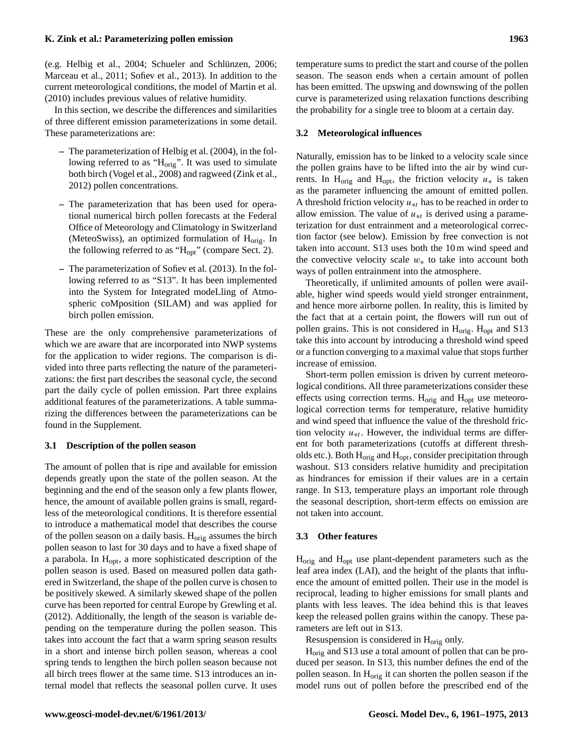# **K. Zink et al.: Parameterizing pollen emission 1963**

(e.g. [Helbig et al.,](#page-13-3) [2004;](#page-13-3) [Schueler and Schlünzen,](#page-14-7) [2006;](#page-14-7) [Marceau et al.,](#page-13-4) [2011;](#page-13-4) [Sofiev et al.,](#page-14-8) [2013\)](#page-14-8). In addition to the current meteorological conditions, the model of [Martin et al.](#page-13-5) [\(2010\)](#page-13-5) includes previous values of relative humidity.

In this section, we describe the differences and similarities of three different emission parameterizations in some detail. These parameterizations are:

- **–** The parameterization of [Helbig et al.](#page-13-3) [\(2004\)](#page-13-3), in the following referred to as "H<sub>orig</sub>". It was used to simulate both birch [\(Vogel et al.,](#page-14-4) [2008\)](#page-14-4) and ragweed [\(Zink et al.,](#page-14-5) [2012\)](#page-14-5) pollen concentrations.
- **–** The parameterization that has been used for operational numerical birch pollen forecasts at the Federal Office of Meteorology and Climatology in Switzerland (MeteoSwiss), an optimized formulation of  $H_{\text{orig}}$ . In the following referred to as " $H_{opt}$ " (compare Sect. [2\)](#page-1-0).
- **–** The parameterization of [Sofiev et al.](#page-14-8) [\(2013\)](#page-14-8). In the following referred to as "S13". It has been implemented into the System for Integrated modeLling of Atmospheric coMposition (SILAM) and was applied for birch pollen emission.

These are the only comprehensive parameterizations of which we are aware that are incorporated into NWP systems for the application to wider regions. The comparison is divided into three parts reflecting the nature of the parameterizations: the first part describes the seasonal cycle, the second part the daily cycle of pollen emission. Part three explains additional features of the parameterizations. A table summarizing the differences between the parameterizations can be found in the Supplement.

#### <span id="page-2-1"></span>**3.1 Description of the pollen season**

The amount of pollen that is ripe and available for emission depends greatly upon the state of the pollen season. At the beginning and the end of the season only a few plants flower, hence, the amount of available pollen grains is small, regardless of the meteorological conditions. It is therefore essential to introduce a mathematical model that describes the course of the pollen season on a daily basis.  $H_{orig}$  assumes the birch pollen season to last for 30 days and to have a fixed shape of a parabola. In Hopt, a more sophisticated description of the pollen season is used. Based on measured pollen data gathered in Switzerland, the shape of the pollen curve is chosen to be positively skewed. A similarly skewed shape of the pollen curve has been reported for central Europe by [Grewling et al.](#page-13-6) [\(2012\)](#page-13-6). Additionally, the length of the season is variable depending on the temperature during the pollen season. This takes into account the fact that a warm spring season results in a short and intense birch pollen season, whereas a cool spring tends to lengthen the birch pollen season because not all birch trees flower at the same time. S13 introduces an internal model that reflects the seasonal pollen curve. It uses temperature sums to predict the start and course of the pollen season. The season ends when a certain amount of pollen has been emitted. The upswing and downswing of the pollen curve is parameterized using relaxation functions describing the probability for a single tree to bloom at a certain day.

#### <span id="page-2-0"></span>**3.2 Meteorological influences**

Naturally, emission has to be linked to a velocity scale since the pollen grains have to be lifted into the air by wind currents. In H<sub>orig</sub> and H<sub>opt</sub>, the friction velocity  $u_*$  is taken as the parameter influencing the amount of emitted pollen. A threshold friction velocity  $u_{*t}$  has to be reached in order to allow emission. The value of  $u_{\ast t}$  is derived using a parameterization for dust entrainment and a meteorological correction factor (see below). Emission by free convection is not taken into account. S13 uses both the 10 m wind speed and the convective velocity scale  $w_*$  to take into account both ways of pollen entrainment into the atmosphere.

Theoretically, if unlimited amounts of pollen were available, higher wind speeds would yield stronger entrainment, and hence more airborne pollen. In reality, this is limited by the fact that at a certain point, the flowers will run out of pollen grains. This is not considered in  $H_{orig}$ .  $H_{opt}$  and S13 take this into account by introducing a threshold wind speed or a function converging to a maximal value that stops further increase of emission.

Short-term pollen emission is driven by current meteorological conditions. All three parameterizations consider these effects using correction terms.  $H_{orig}$  and  $H_{opt}$  use meteorological correction terms for temperature, relative humidity and wind speed that influence the value of the threshold friction velocity  $u_{\ast t}$ . However, the individual terms are different for both parameterizations (cutoffs at different thresholds etc.). Both  $H_{orig}$  and  $H_{opt}$ , consider precipitation through washout. S13 considers relative humidity and precipitation as hindrances for emission if their values are in a certain range. In S13, temperature plays an important role through the seasonal description, short-term effects on emission are not taken into account.

#### <span id="page-2-2"></span>**3.3 Other features**

Horig and Hopt use plant-dependent parameters such as the leaf area index (LAI), and the height of the plants that influence the amount of emitted pollen. Their use in the model is reciprocal, leading to higher emissions for small plants and plants with less leaves. The idea behind this is that leaves keep the released pollen grains within the canopy. These parameters are left out in S13.

Resuspension is considered in  $H_{orig}$  only.

Horig and S13 use a total amount of pollen that can be produced per season. In S13, this number defines the end of the pollen season. In  $H_{orig}$  it can shorten the pollen season if the model runs out of pollen before the prescribed end of the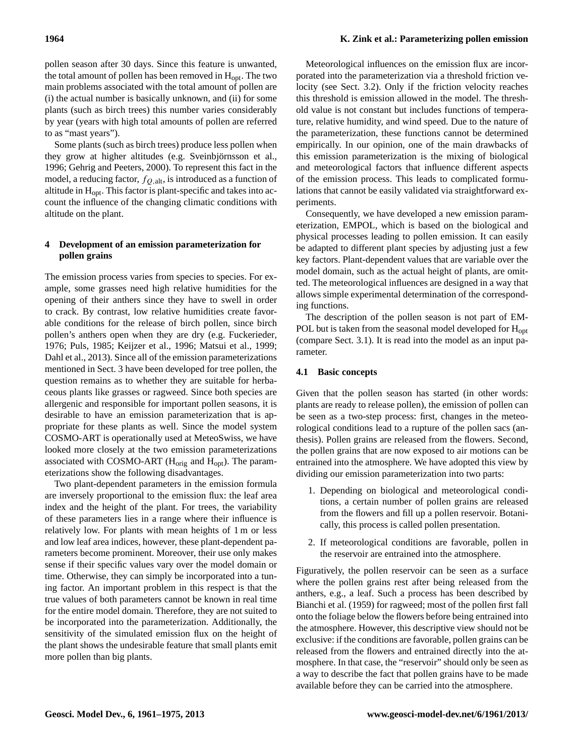pollen season after 30 days. Since this feature is unwanted, the total amount of pollen has been removed in  $H_{opt}$ . The two main problems associated with the total amount of pollen are (i) the actual number is basically unknown, and (ii) for some plants (such as birch trees) this number varies considerably by year (years with high total amounts of pollen are referred to as "mast years").

Some plants (such as birch trees) produce less pollen when they grow at higher altitudes (e.g. [Sveinbjörnsson et al.,](#page-14-9) [1996;](#page-14-9) [Gehrig and Peeters,](#page-13-7) [2000\)](#page-13-7). To represent this fact in the model, a reducing factor,  $f_{O,alt}$ , is introduced as a function of altitude in  $H_{\text{opt}}$ . This factor is plant-specific and takes into account the influence of the changing climatic conditions with altitude on the plant.

# <span id="page-3-0"></span>**4 Development of an emission parameterization for pollen grains**

The emission process varies from species to species. For example, some grasses need high relative humidities for the opening of their anthers since they have to swell in order to crack. By contrast, low relative humidities create favorable conditions for the release of birch pollen, since birch pollen's anthers open when they are dry (e.g. [Fuckerieder,](#page-13-8) [1976;](#page-13-8) [Puls,](#page-14-10) [1985;](#page-14-10) [Keijzer et al.,](#page-13-9) [1996;](#page-13-9) [Matsui et al.,](#page-14-11) [1999;](#page-14-11) [Dahl et al.,](#page-13-10) [2013\)](#page-13-10). Since all of the emission parameterizations mentioned in Sect. [3](#page-1-1) have been developed for tree pollen, the question remains as to whether they are suitable for herbaceous plants like grasses or ragweed. Since both species are allergenic and responsible for important pollen seasons, it is desirable to have an emission parameterization that is appropriate for these plants as well. Since the model system COSMO-ART is operationally used at MeteoSwiss, we have looked more closely at the two emission parameterizations associated with COSMO-ART ( $H_{orig}$  and  $H_{opt}$ ). The parameterizations show the following disadvantages.

Two plant-dependent parameters in the emission formula are inversely proportional to the emission flux: the leaf area index and the height of the plant. For trees, the variability of these parameters lies in a range where their influence is relatively low. For plants with mean heights of 1 m or less and low leaf area indices, however, these plant-dependent parameters become prominent. Moreover, their use only makes sense if their specific values vary over the model domain or time. Otherwise, they can simply be incorporated into a tuning factor. An important problem in this respect is that the true values of both parameters cannot be known in real time for the entire model domain. Therefore, they are not suited to be incorporated into the parameterization. Additionally, the sensitivity of the simulated emission flux on the height of the plant shows the undesirable feature that small plants emit more pollen than big plants.

Meteorological influences on the emission flux are incorporated into the parameterization via a threshold friction velocity (see Sect. [3.2\)](#page-2-0). Only if the friction velocity reaches this threshold is emission allowed in the model. The threshold value is not constant but includes functions of temperature, relative humidity, and wind speed. Due to the nature of the parameterization, these functions cannot be determined empirically. In our opinion, one of the main drawbacks of this emission parameterization is the mixing of biological and meteorological factors that influence different aspects of the emission process. This leads to complicated formulations that cannot be easily validated via straightforward experiments.

Consequently, we have developed a new emission parameterization, EMPOL, which is based on the biological and physical processes leading to pollen emission. It can easily be adapted to different plant species by adjusting just a few key factors. Plant-dependent values that are variable over the model domain, such as the actual height of plants, are omitted. The meteorological influences are designed in a way that allows simple experimental determination of the corresponding functions.

The description of the pollen season is not part of EM-POL but is taken from the seasonal model developed for  $H_{opt}$ (compare Sect. [3.1\)](#page-2-1). It is read into the model as an input parameter.

# **4.1 Basic concepts**

Given that the pollen season has started (in other words: plants are ready to release pollen), the emission of pollen can be seen as a two-step process: first, changes in the meteorological conditions lead to a rupture of the pollen sacs (anthesis). Pollen grains are released from the flowers. Second, the pollen grains that are now exposed to air motions can be entrained into the atmosphere. We have adopted this view by dividing our emission parameterization into two parts:

- 1. Depending on biological and meteorological conditions, a certain number of pollen grains are released from the flowers and fill up a pollen reservoir. Botanically, this process is called pollen presentation.
- 2. If meteorological conditions are favorable, pollen in the reservoir are entrained into the atmosphere.

Figuratively, the pollen reservoir can be seen as a surface where the pollen grains rest after being released from the anthers, e.g., a leaf. Such a process has been described by [Bianchi et al.](#page-13-2) [\(1959\)](#page-13-2) for ragweed; most of the pollen first fall onto the foliage below the flowers before being entrained into the atmosphere. However, this descriptive view should not be exclusive: if the conditions are favorable, pollen grains can be released from the flowers and entrained directly into the atmosphere. In that case, the "reservoir" should only be seen as a way to describe the fact that pollen grains have to be made available before they can be carried into the atmosphere.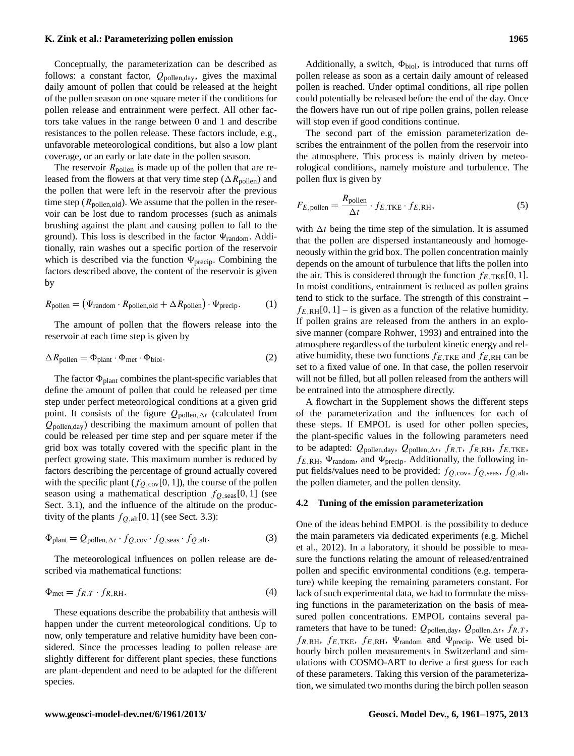# **K. Zink et al.: Parameterizing pollen emission 1965**

Conceptually, the parameterization can be described as follows: a constant factor,  $Q_{\text{pollen,day}}$ , gives the maximal daily amount of pollen that could be released at the height of the pollen season on one square meter if the conditions for pollen release and entrainment were perfect. All other factors take values in the range between 0 and 1 and describe resistances to the pollen release. These factors include, e.g., unfavorable meteorological conditions, but also a low plant coverage, or an early or late date in the pollen season.

The reservoir  $R_{\text{pollen}}$  is made up of the pollen that are released from the flowers at that very time step ( $\Delta R_{\text{pollen}}$ ) and the pollen that were left in the reservoir after the previous time step ( $R_{\text{pollen},\text{old}}$ ). We assume that the pollen in the reservoir can be lost due to random processes (such as animals brushing against the plant and causing pollen to fall to the ground). This loss is described in the factor  $\Psi_{\text{random}}$ . Additionally, rain washes out a specific portion of the reservoir which is described via the function  $\Psi_{\text{precip}}$ . Combining the factors described above, the content of the reservoir is given by

$$
R_{\text{pollen}} = (\Psi_{\text{random}} \cdot R_{\text{pollen,old}} + \Delta R_{\text{pollen}}) \cdot \Psi_{\text{precip}}.
$$
 (1)

The amount of pollen that the flowers release into the reservoir at each time step is given by

$$
\Delta R_{\text{pollen}} = \Phi_{\text{plant}} \cdot \Phi_{\text{met}} \cdot \Phi_{\text{biol}}.\tag{2}
$$

The factor  $\Phi_{\text{plant}}$  combines the plant-specific variables that define the amount of pollen that could be released per time step under perfect meteorological conditions at a given grid point. It consists of the figure  $Q_{\text{pollen},\Delta t}$  (calculated from  $Q_{\text{pollen,day}}$  describing the maximum amount of pollen that could be released per time step and per square meter if the grid box was totally covered with the specific plant in the perfect growing state. This maximum number is reduced by factors describing the percentage of ground actually covered with the specific plant ( $f_{Q,\text{cov}}[0,1]$ ), the course of the pollen season using a mathematical description  $f_{Q,\text{seas}}[0,1]$  (see Sect. [3.1\)](#page-2-1), and the influence of the altitude on the productivity of the plants  $f_{Q,alt}[0,1]$  (see Sect. [3.3\)](#page-2-2):

$$
\Phi_{\text{plant}} = Q_{\text{pollen}, \Delta t} \cdot f_{Q, \text{cov}} \cdot f_{Q, \text{seas}} \cdot f_{Q, \text{alt}}.\tag{3}
$$

The meteorological influences on pollen release are described via mathematical functions:

$$
\Phi_{\text{met}} = f_{R,T} \cdot f_{R,\text{RH}}.\tag{4}
$$

These equations describe the probability that anthesis will happen under the current meteorological conditions. Up to now, only temperature and relative humidity have been considered. Since the processes leading to pollen release are slightly different for different plant species, these functions are plant-dependent and need to be adapted for the different species.

Additionally, a switch,  $\Phi_{\text{biol}}$ , is introduced that turns off pollen release as soon as a certain daily amount of released pollen is reached. Under optimal conditions, all ripe pollen could potentially be released before the end of the day. Once the flowers have run out of ripe pollen grains, pollen release will stop even if good conditions continue.

The second part of the emission parameterization describes the entrainment of the pollen from the reservoir into the atmosphere. This process is mainly driven by meteorological conditions, namely moisture and turbulence. The pollen flux is given by

$$
F_{E,\text{pollen}} = \frac{R_{\text{pollen}}}{\Delta t} \cdot f_{E,\text{TKE}} \cdot f_{E,\text{RH}},\tag{5}
$$

with  $\Delta t$  being the time step of the simulation. It is assumed that the pollen are dispersed instantaneously and homogeneously within the grid box. The pollen concentration mainly depends on the amount of turbulence that lifts the pollen into the air. This is considered through the function  $f_{E, \text{TKE}}[0, 1]$ . In moist conditions, entrainment is reduced as pollen grains tend to stick to the surface. The strength of this constraint –  $f_{E, \text{RH}}[0, 1]$  – is given as a function of the relative humidity. If pollen grains are released from the anthers in an explosive manner (compare [Rohwer,](#page-14-12) [1993\)](#page-14-12) and entrained into the atmosphere regardless of the turbulent kinetic energy and relative humidity, these two functions  $f_{E,THE}$  and  $f_{E,RH}$  can be set to a fixed value of one. In that case, the pollen reservoir will not be filled, but all pollen released from the anthers will be entrained into the atmosphere directly.

A flowchart in the Supplement shows the different steps of the parameterization and the influences for each of these steps. If EMPOL is used for other pollen species, the plant-specific values in the following parameters need to be adapted:  $Q_{\text{pollen,day}}, Q_{\text{pollen},\Delta t}, f_{R,T}, f_{R,RH}, f_{E,TKE},$  $f_{E, RH}$ ,  $\Psi_{random}$ , and  $\Psi_{\text{precip}}$ . Additionally, the following input fields/values need to be provided:  $f_{Q,\text{cov}}$ ,  $f_{Q,\text{seas}}$ ,  $f_{Q,\text{alt}}$ , the pollen diameter, and the pollen density.

#### **4.2 Tuning of the emission parameterization**

One of the ideas behind EMPOL is the possibility to deduce the main parameters via dedicated experiments (e.g. [Michel](#page-14-13) [et al.,](#page-14-13) [2012\)](#page-14-13). In a laboratory, it should be possible to measure the functions relating the amount of released/entrained pollen and specific environmental conditions (e.g. temperature) while keeping the remaining parameters constant. For lack of such experimental data, we had to formulate the missing functions in the parameterization on the basis of measured pollen concentrations. EMPOL contains several parameters that have to be tuned:  $Q_{\text{pollen,day}}, Q_{\text{pollen},\Delta t}, f_{R,T},$  $f_{R,RH}$ ,  $f_{E,TKE}$ ,  $f_{E,RH}$ ,  $\Psi_{random}$  and  $\Psi_{precip}$ . We used bihourly birch pollen measurements in Switzerland and simulations with COSMO-ART to derive a first guess for each of these parameters. Taking this version of the parameterization, we simulated two months during the birch pollen season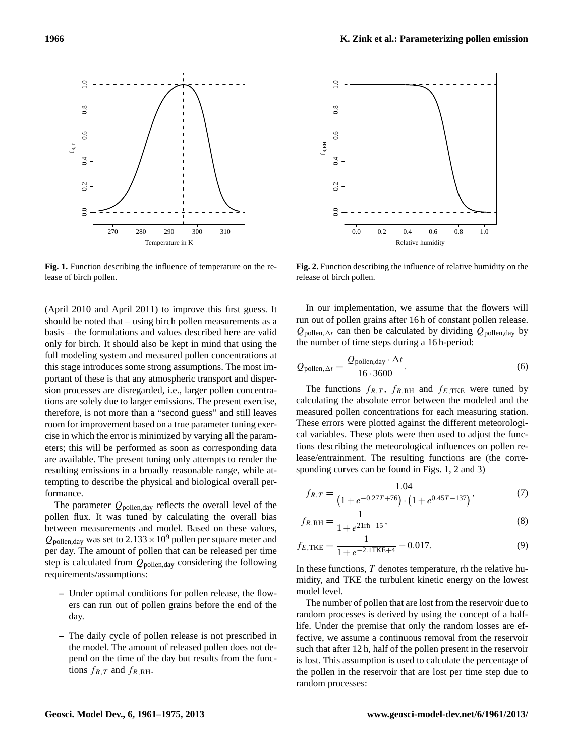

<span id="page-5-0"></span>**Fig. 1.** Function describing the influence of temperature on the release of birch pollen.

(April 2010 and April 2011) to improve this first guess. It should be noted that – using birch pollen measurements as a basis – the formulations and values described here are valid only for birch. It should also be kept in mind that using the full modeling system and measured pollen concentrations at this stage introduces some strong assumptions. The most important of these is that any atmospheric transport and dispersion processes are disregarded, i.e., larger pollen concentrations are solely due to larger emissions. The present exercise, therefore, is not more than a "second guess" and still leaves room for improvement based on a true parameter tuning exercise in which the error is minimized by varying all the parameters; this will be performed as soon as corresponding data are available. The present tuning only attempts to render the resulting emissions in a broadly reasonable range, while attempting to describe the physical and biological overall performance.

The parameter  $Q_{\text{pollen,day}}$  reflects the overall level of the pollen flux. It was tuned by calculating the overall bias between measurements and model. Based on these values,  $Q_{\text{pollen,day}}$  was set to 2.133  $\times 10^9$  pollen per square meter and per day. The amount of pollen that can be released per time step is calculated from  $Q_{\text{pollen,day}}$  considering the following requirements/assumptions:

- **–** Under optimal conditions for pollen release, the flowers can run out of pollen grains before the end of the day.
- **–** The daily cycle of pollen release is not prescribed in the model. The amount of released pollen does not depend on the time of the day but results from the functions  $f_{R,T}$  and  $f_{R,RH}$ .



<span id="page-5-1"></span>**Fig. 2.** Function describing the influence of relative humidity on the release of birch pollen.

In our implementation, we assume that the flowers will run out of pollen grains after 16 h of constant pollen release.  $Q_{\text{pollen},\Delta t}$  can then be calculated by dividing  $Q_{\text{pollen},\text{day}}$  by the number of time steps during a 16 h-period:

$$
Q_{\text{pollen},\Delta t} = \frac{Q_{\text{pollen},\text{day}} \cdot \Delta t}{16 \cdot 3600}.
$$
 (6)

The functions  $f_{R,T}$ ,  $f_{R,RH}$  and  $f_{E,TKE}$  were tuned by calculating the absolute error between the modeled and the measured pollen concentrations for each measuring station. These errors were plotted against the different meteorological variables. These plots were then used to adjust the functions describing the meteorological influences on pollen release/entrainment. The resulting functions are (the corresponding curves can be found in Figs. [1,](#page-5-0) [2](#page-5-1) and [3\)](#page-6-1)

$$
f_{R,T} = \frac{1.04}{\left(1 + e^{-0.27T + 76}\right) \cdot \left(1 + e^{0.45T - 137}\right)},\tag{7}
$$

$$
f_{R, \text{RH}} = \frac{1}{1 + e^{21 \text{rh} - 15}},\tag{8}
$$

$$
f_{E,\text{TKE}} = \frac{1}{1 + e^{-2.1\text{TKE} + 4}} - 0.017. \tag{9}
$$

In these functions,  $T$  denotes temperature, rh the relative humidity, and TKE the turbulent kinetic energy on the lowest model level.

The number of pollen that are lost from the reservoir due to random processes is derived by using the concept of a halflife. Under the premise that only the random losses are effective, we assume a continuous removal from the reservoir such that after 12 h, half of the pollen present in the reservoir is lost. This assumption is used to calculate the percentage of the pollen in the reservoir that are lost per time step due to random processes: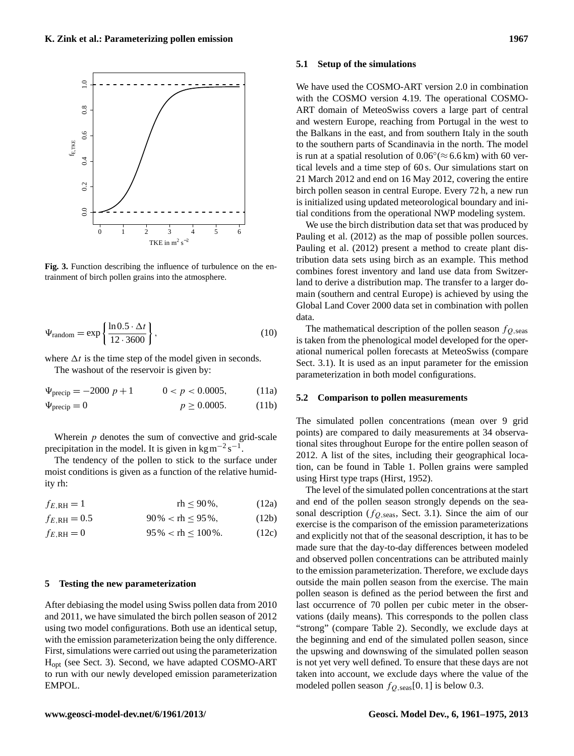

<span id="page-6-1"></span>**Fig. 3.** Function describing the influence of turbulence on the entrainment of birch pollen grains into the atmosphere.

$$
\Psi_{\text{random}} = \exp\left\{\frac{\ln 0.5 \cdot \Delta t}{12 \cdot 3600}\right\},\tag{10}
$$

where  $\Delta t$  is the time step of the model given in seconds.

The washout of the reservoir is given by:

 $\Psi_{\text{mecin}} = -2000 \ p + 1$   $0 < p < 0.0005$ , (11a)

$$
\Psi_{\text{precip}} = 0 \qquad \qquad p \ge 0.0005. \qquad (11b)
$$

Wherein  $p$  denotes the sum of convective and grid-scale precipitation in the model. It is given in  $\text{kg m}^{-2} \text{s}^{-1}$ .

The tendency of the pollen to stick to the surface under moist conditions is given as a function of the relative humidity rh:

$$
f_{E, \text{RH}} = 1 \qquad \text{rh} \le 90\%, \tag{12a}
$$

$$
f_{E, \text{RH}} = 0.5 \qquad 90\% < \text{rh} \le 95\%, \qquad (12b)
$$

$$
f_{E, \text{RH}} = 0 \qquad 95\% < \text{rh} \le 100\%.
$$
 (12c)

#### <span id="page-6-0"></span>**5 Testing the new parameterization**

After debiasing the model using Swiss pollen data from 2010 and 2011, we have simulated the birch pollen season of 2012 using two model configurations. Both use an identical setup, with the emission parameterization being the only difference. First, simulations were carried out using the parameterization Hopt (see Sect. [3\)](#page-1-1). Second, we have adapted COSMO-ART to run with our newly developed emission parameterization EMPOL.

#### **5.1 Setup of the simulations**

We have used the COSMO-ART version 2.0 in combination with the COSMO version 4.19. The operational COSMO-ART domain of MeteoSwiss covers a large part of central and western Europe, reaching from Portugal in the west to the Balkans in the east, and from southern Italy in the south to the southern parts of Scandinavia in the north. The model is run at a spatial resolution of  $0.06^{\circ}$  ( $\approx$  6.6 km) with 60 vertical levels and a time step of 60 s. Our simulations start on 21 March 2012 and end on 16 May 2012, covering the entire birch pollen season in central Europe. Every 72 h, a new run is initialized using updated meteorological boundary and initial conditions from the operational NWP modeling system.

We use the birch distribution data set that was produced by [Pauling et al.](#page-14-14) [\(2012\)](#page-14-14) as the map of possible pollen sources. [Pauling et al.](#page-14-14) [\(2012\)](#page-14-14) present a method to create plant distribution data sets using birch as an example. This method combines forest inventory and land use data from Switzerland to derive a distribution map. The transfer to a larger domain (southern and central Europe) is achieved by using the Global Land Cover 2000 data set in combination with pollen data.

The mathematical description of the pollen season  $f_{O,\text{seas}}$ is taken from the phenological model developed for the operational numerical pollen forecasts at MeteoSwiss (compare Sect. [3.1\)](#page-2-1). It is used as an input parameter for the emission parameterization in both model configurations.

# **5.2 Comparison to pollen measurements**

The simulated pollen concentrations (mean over 9 grid points) are compared to daily measurements at 34 observational sites throughout Europe for the entire pollen season of 2012. A list of the sites, including their geographical location, can be found in Table [1.](#page-7-1) Pollen grains were sampled using Hirst type traps [\(Hirst,](#page-13-0) [1952\)](#page-13-0).

The level of the simulated pollen concentrations at the start and end of the pollen season strongly depends on the seasonal description ( $f_{Q,\text{seas}}$ , Sect. [3.1\)](#page-2-1). Since the aim of our exercise is the comparison of the emission parameterizations and explicitly not that of the seasonal description, it has to be made sure that the day-to-day differences between modeled and observed pollen concentrations can be attributed mainly to the emission parameterization. Therefore, we exclude days outside the main pollen season from the exercise. The main pollen season is defined as the period between the first and last occurrence of 70 pollen per cubic meter in the observations (daily means). This corresponds to the pollen class "strong" (compare Table [2\)](#page-7-2). Secondly, we exclude days at the beginning and end of the simulated pollen season, since the upswing and downswing of the simulated pollen season is not yet very well defined. To ensure that these days are not taken into account, we exclude days where the value of the modeled pollen season  $f_{Q,seas}[0,1]$  is below 0.3.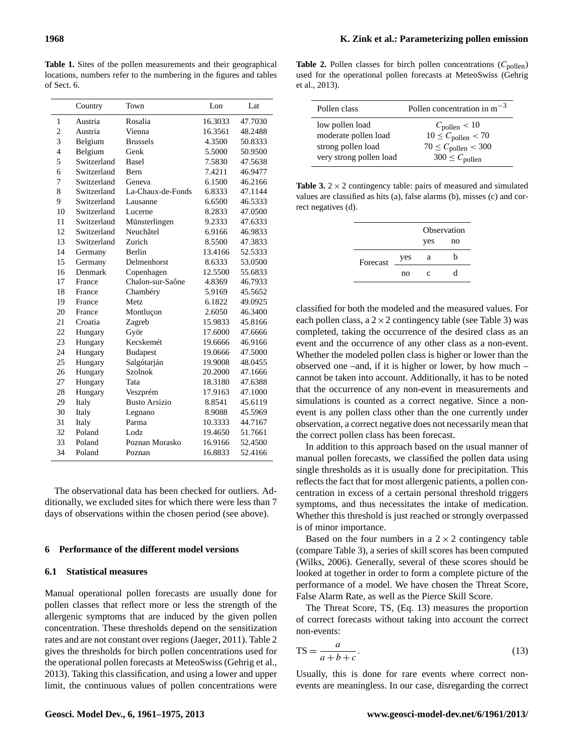<span id="page-7-1"></span>**Table 1.** Sites of the pollen measurements and their geographical locations, numbers refer to the numbering in the figures and tables of Sect. [6.](#page-7-0)

|                         | Country     | Town                 | Lon     | Lat     |
|-------------------------|-------------|----------------------|---------|---------|
| 1                       | Austria     | Rosalia              | 16.3033 | 47.7030 |
| $\overline{2}$          | Austria     | Vienna               | 16.3561 | 48.2488 |
| 3                       | Belgium     | <b>Brussels</b>      | 4.3500  | 50.8333 |
| $\overline{\mathbf{4}}$ | Belgium     | Genk                 | 5.5000  | 50.9500 |
| 5                       | Switzerland | <b>Basel</b>         | 7.5830  | 47.5638 |
| 6                       | Switzerland | Bern                 | 7.4211  | 46.9477 |
| 7                       | Switzerland | Geneva               | 6.1500  | 46.2166 |
| 8                       | Switzerland | La-Chaux-de-Fonds    | 6.8333  | 47.1144 |
| 9                       | Switzerland | Lausanne             | 6.6500  | 46.5333 |
| 10                      | Switzerland | Lucerne              | 8.2833  | 47.0500 |
| 11                      | Switzerland | Münsterlingen        | 9.2333  | 47.6333 |
| 12                      | Switzerland | Neuchâtel            | 6.9166  | 46.9833 |
| 13                      | Switzerland | Zurich               | 8.5500  | 47.3833 |
| 14                      | Germany     | Berlin               | 13.4166 | 52.5333 |
| 15                      | Germany     | Delmenhorst          | 8.6333  | 53.0500 |
| 16                      | Denmark     | Copenhagen           | 12.5500 | 55.6833 |
| 17                      | France      | Chalon-sur-Saône     | 4.8369  | 46.7933 |
| 18                      | France      | Chambéry             | 5.9169  | 45.5652 |
| 19                      | France      | Metz.                | 6.1822  | 49.0925 |
| 20                      | France      | Montluçon            | 2.6050  | 46.3400 |
| 21                      | Croatia     | Zagreb               | 15.9833 | 45.8166 |
| 22                      | Hungary     | Györ                 | 17.6000 | 47.6666 |
| 23                      | Hungary     | Kecskemét            | 19.6666 | 46.9166 |
| 24                      | Hungary     | <b>Budapest</b>      | 19.0666 | 47.5000 |
| 25                      | Hungary     | Salgótarján          | 19.9008 | 48.0455 |
| 26                      | Hungary     | Szolnok              | 20.2000 | 47.1666 |
| 27                      | Hungary     | Tata                 | 18.3180 | 47.6388 |
| 28                      | Hungary     | Veszprém             | 17.9163 | 47.1000 |
| 29                      | Italy       | <b>Busto Arsizio</b> | 8.8541  | 45.6119 |
| 30                      | Italy       | Legnano              | 8.9088  | 45.5969 |
| 31                      | Italy       | Parma                | 10.3333 | 44.7167 |
| 32                      | Poland      | Lodz                 | 19.4650 | 51.7661 |
| 33                      | Poland      | Poznan Morasko       | 16.9166 | 52.4500 |
| 34                      | Poland      | Poznan               | 16.8833 | 52.4166 |

The observational data has been checked for outliers. Additionally, we excluded sites for which there were less than 7 days of observations within the chosen period (see above).

#### <span id="page-7-0"></span>**6 Performance of the different model versions**

## **6.1 Statistical measures**

Manual operational pollen forecasts are usually done for pollen classes that reflect more or less the strength of the allergenic symptoms that are induced by the given pollen concentration. These thresholds depend on the sensitization rates and are not constant over regions [\(Jaeger,](#page-13-11) [2011\)](#page-13-11). Table [2](#page-7-2) gives the thresholds for birch pollen concentrations used for the operational pollen forecasts at MeteoSwiss [\(Gehrig et al.,](#page-13-12) [2013\)](#page-13-12). Taking this classification, and using a lower and upper limit, the continuous values of pollen concentrations were

<span id="page-7-2"></span>**Table 2.** Pollen classes for birch pollen concentrations  $(C_{\text{pollen}})$ used for the operational pollen forecasts at MeteoSwiss [\(Gehrig](#page-13-12) [et al.,](#page-13-12) [2013\)](#page-13-12).

| Pollen class            | Pollen concentration in $m^{-3}$  |
|-------------------------|-----------------------------------|
| low pollen load         | $C_{\text{pollen}} < 10$          |
| moderate pollen load    | $10 \leq C_{\text{pollen}} < 70$  |
| strong pollen load      | $70 \leq C_{\text{pollen}} < 300$ |
| very strong pollen load | $300 \leq C_{\text{pollen}}$      |

<span id="page-7-3"></span>**Table 3.**  $2 \times 2$  contingency table: pairs of measured and simulated values are classified as hits (a), false alarms (b), misses (c) and correct negatives (d).

|          |     | Observation |    |
|----------|-----|-------------|----|
|          |     | yes         | no |
| Forecast | yes | а           | h  |
|          | no  | с           | d  |

classified for both the modeled and the measured values. For each pollen class, a  $2 \times 2$  contingency table (see Table [3\)](#page-7-3) was completed, taking the occurrence of the desired class as an event and the occurrence of any other class as a non-event. Whether the modeled pollen class is higher or lower than the observed one –and, if it is higher or lower, by how much – cannot be taken into account. Additionally, it has to be noted that the occurrence of any non-event in measurements and simulations is counted as a correct negative. Since a nonevent is any pollen class other than the one currently under observation, a correct negative does not necessarily mean that the correct pollen class has been forecast.

In addition to this approach based on the usual manner of manual pollen forecasts, we classified the pollen data using single thresholds as it is usually done for precipitation. This reflects the fact that for most allergenic patients, a pollen concentration in excess of a certain personal threshold triggers symptoms, and thus necessitates the intake of medication. Whether this threshold is just reached or strongly overpassed is of minor importance.

Based on the four numbers in a  $2 \times 2$  contingency table (compare Table [3\)](#page-7-3), a series of skill scores has been computed [\(Wilks,](#page-14-15) [2006\)](#page-14-15). Generally, several of these scores should be looked at together in order to form a complete picture of the performance of a model. We have chosen the Threat Score, False Alarm Rate, as well as the Pierce Skill Score.

The Threat Score, TS, (Eq. [13\)](#page-7-4) measures the proportion of correct forecasts without taking into account the correct non-events:

<span id="page-7-4"></span>
$$
TS = \frac{a}{a+b+c}.\tag{13}
$$

Usually, this is done for rare events where correct nonevents are meaningless. In our case, disregarding the correct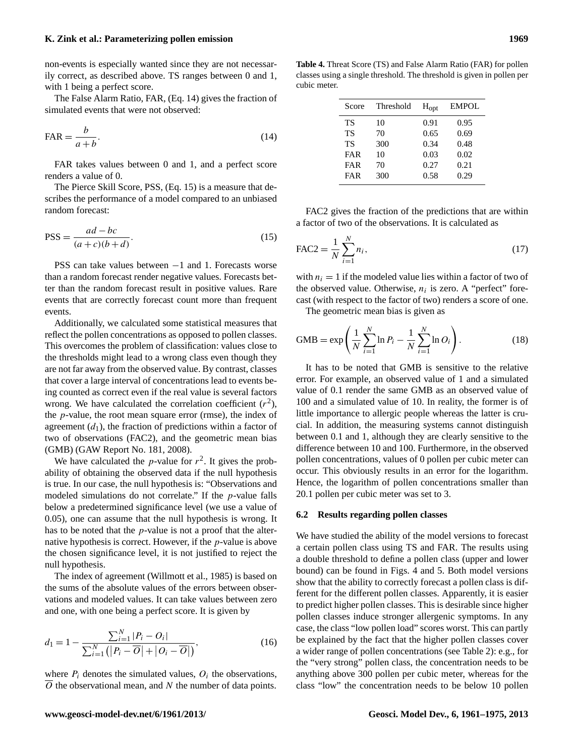non-events is especially wanted since they are not necessarily correct, as described above. TS ranges between 0 and 1, with 1 being a perfect score.

The False Alarm Ratio, FAR, (Eq. [14\)](#page-8-0) gives the fraction of simulated events that were not observed:

$$
FAR = \frac{b}{a+b}.\tag{14}
$$

FAR takes values between 0 and 1, and a perfect score renders a value of 0.

<span id="page-8-1"></span>The Pierce Skill Score, PSS, (Eq. [15\)](#page-8-1) is a measure that describes the performance of a model compared to an unbiased random forecast:

$$
PSS = \frac{ad - bc}{(a + c)(b + d)}.\tag{15}
$$

PSS can take values between −1 and 1. Forecasts worse than a random forecast render negative values. Forecasts better than the random forecast result in positive values. Rare events that are correctly forecast count more than frequent events.

Additionally, we calculated some statistical measures that reflect the pollen concentrations as opposed to pollen classes. This overcomes the problem of classification: values close to the thresholds might lead to a wrong class even though they are not far away from the observed value. By contrast, classes that cover a large interval of concentrations lead to events being counted as correct even if the real value is several factors wrong. We have calculated the correlation coefficient  $(r^2)$ , the  $p$ -value, the root mean square error (rmse), the index of agreement  $(d_1)$ , the fraction of predictions within a factor of two of observations (FAC2), and the geometric mean bias (GMB) [\(GAW Report No. 181,](#page-13-13) [2008\)](#page-13-13).

We have calculated the *p*-value for  $r^2$ . It gives the probability of obtaining the observed data if the null hypothesis is true. In our case, the null hypothesis is: "Observations and modeled simulations do not correlate." If the p-value falls below a predetermined significance level (we use a value of 0.05), one can assume that the null hypothesis is wrong. It has to be noted that the  $p$ -value is not a proof that the alternative hypothesis is correct. However, if the  $p$ -value is above the chosen significance level, it is not justified to reject the null hypothesis.

The index of agreement [\(Willmott et al.,](#page-14-16) [1985\)](#page-14-16) is based on the sums of the absolute values of the errors between observations and modeled values. It can take values between zero and one, with one being a perfect score. It is given by

$$
d_1 = 1 - \frac{\sum_{i=1}^{N} |P_i - O_i|}{\sum_{i=1}^{N} (|P_i - \overline{O}| + |O_i - \overline{O}|)},
$$
\n(16)

where  $P_i$  denotes the simulated values,  $O_i$  the observations,  $\overline{O}$  the observational mean, and N the number of data points.

<span id="page-8-2"></span><span id="page-8-0"></span>**Table 4.** Threat Score (TS) and False Alarm Ratio (FAR) for pollen classes using a single threshold. The threshold is given in pollen per cubic meter.

| Score      | Threshold | $H_{opt}$ | EMPOL |
|------------|-----------|-----------|-------|
| TS         | 10        | 0.91      | 0.95  |
| TS         | 70        | 0.65      | 0.69  |
| TS         | 300       | 0.34      | 0.48  |
| <b>FAR</b> | 10        | 0.03      | 0.02  |
| FAR        | 70        | 0.27      | 0.21  |
| <b>FAR</b> | 300       | 0.58      | 0.29  |

FAC2 gives the fraction of the predictions that are within a factor of two of the observations. It is calculated as

$$
FAC2 = \frac{1}{N} \sum_{i=1}^{N} n_i,
$$
\n(17)

with  $n_i = 1$  if the modeled value lies within a factor of two of the observed value. Otherwise,  $n_i$  is zero. A "perfect" forecast (with respect to the factor of two) renders a score of one.

The geometric mean bias is given as

GMB = exp
$$
\left(\frac{1}{N}\sum_{i=1}^{N}\ln P_{i} - \frac{1}{N}\sum_{i=1}^{N}\ln O_{i}\right)
$$
. (18)

It has to be noted that GMB is sensitive to the relative error. For example, an observed value of 1 and a simulated value of 0.1 render the same GMB as an observed value of 100 and a simulated value of 10. In reality, the former is of little importance to allergic people whereas the latter is crucial. In addition, the measuring systems cannot distinguish between 0.1 and 1, although they are clearly sensitive to the difference between 10 and 100. Furthermore, in the observed pollen concentrations, values of 0 pollen per cubic meter can occur. This obviously results in an error for the logarithm. Hence, the logarithm of pollen concentrations smaller than 20.1 pollen per cubic meter was set to 3.

#### **6.2 Results regarding pollen classes**

We have studied the ability of the model versions to forecast a certain pollen class using TS and FAR. The results using a double threshold to define a pollen class (upper and lower bound) can be found in Figs. [4](#page-9-0) and [5.](#page-9-1) Both model versions show that the ability to correctly forecast a pollen class is different for the different pollen classes. Apparently, it is easier to predict higher pollen classes. This is desirable since higher pollen classes induce stronger allergenic symptoms. In any case, the class "low pollen load" scores worst. This can partly be explained by the fact that the higher pollen classes cover a wider range of pollen concentrations (see Table [2\)](#page-7-2): e.g., for the "very strong" pollen class, the concentration needs to be anything above 300 pollen per cubic meter, whereas for the class "low" the concentration needs to be below 10 pollen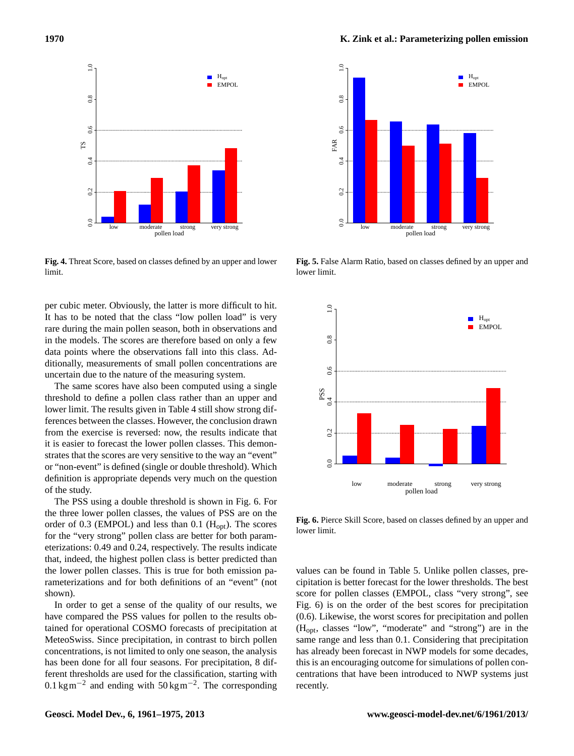

<span id="page-9-0"></span>**Fig. 4.** Threat Score, based on classes defined by an upper and lower limit.

per cubic meter. Obviously, the latter is more difficult to hit. It has to be noted that the class "low pollen load" is very rare during the main pollen season, both in observations and in the models. The scores are therefore based on only a few data points where the observations fall into this class. Additionally, measurements of small pollen concentrations are uncertain due to the nature of the measuring system.

The same scores have also been computed using a single threshold to define a pollen class rather than an upper and lower limit. The results given in Table [4](#page-8-2) still show strong differences between the classes. However, the conclusion drawn from the exercise is reversed: now, the results indicate that it is easier to forecast the lower pollen classes. This demonstrates that the scores are very sensitive to the way an "event" or "non-event" is defined (single or double threshold). Which definition is appropriate depends very much on the question of the study.

The PSS using a double threshold is shown in Fig. [6.](#page-9-2) For the three lower pollen classes, the values of PSS are on the order of 0.3 (EMPOL) and less than 0.1 ( $H_{opt}$ ). The scores for the "very strong" pollen class are better for both parameterizations: 0.49 and 0.24, respectively. The results indicate that, indeed, the highest pollen class is better predicted than the lower pollen classes. This is true for both emission parameterizations and for both definitions of an "event" (not shown).

In order to get a sense of the quality of our results, we have compared the PSS values for pollen to the results obtained for operational COSMO forecasts of precipitation at MeteoSwiss. Since precipitation, in contrast to birch pollen concentrations, is not limited to only one season, the analysis has been done for all four seasons. For precipitation, 8 different thresholds are used for the classification, starting with 0.1 kg m<sup> $-2$ </sup> and ending with 50 kg m<sup> $-2$ </sup>



<span id="page-9-1"></span>**Fig. 5.** False Alarm Ratio, based on classes defined by an upper and lower limit.



<span id="page-9-2"></span>**Fig. 6.** Pierce Skill Score, based on classes defined by an upper and lower limit.

values can be found in Table [5.](#page-10-0) Unlike pollen classes, precipitation is better forecast for the lower thresholds. The best score for pollen classes (EMPOL, class "very strong", see Fig. [6\)](#page-9-2) is on the order of the best scores for precipitation (0.6). Likewise, the worst scores for precipitation and pollen (Hopt, classes "low", "moderate" and "strong") are in the same range and less than 0.1. Considering that precipitation has already been forecast in NWP models for some decades, this is an encouraging outcome for simulations of pollen concentrations that have been introduced to NWP systems just recently.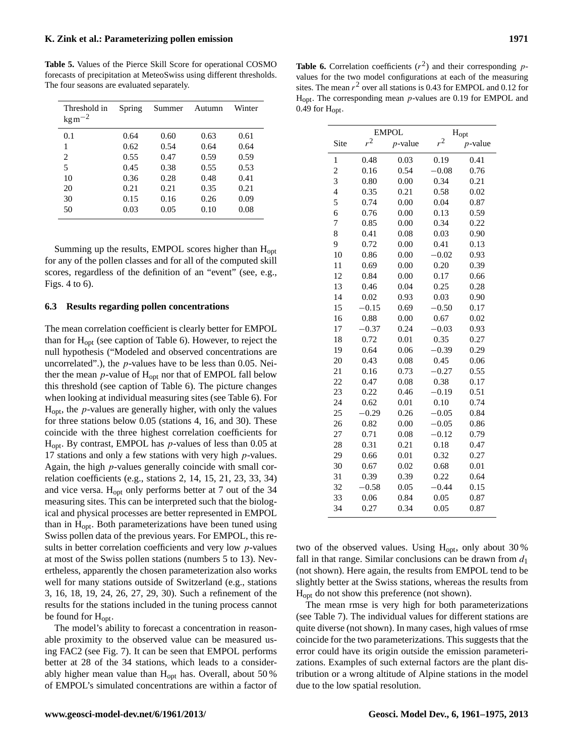<span id="page-10-0"></span>**Table 5.** Values of the Pierce Skill Score for operational COSMO forecasts of precipitation at MeteoSwiss using different thresholds. The four seasons are evaluated separately.

| Threshold in<br>$\text{kg m}^{-2}$ | Spring | Summer | Autumn | Winter |
|------------------------------------|--------|--------|--------|--------|
| 0.1                                | 0.64   | 0.60   | 0.63   | 0.61   |
| 1                                  | 0.62   | 0.54   | 0.64   | 0.64   |
| 2                                  | 0.55   | 0.47   | 0.59   | 0.59   |
| 5                                  | 0.45   | 0.38   | 0.55   | 0.53   |
| 10                                 | 0.36   | 0.28   | 0.48   | 0.41   |
| 20                                 | 0.21   | 0.21   | 0.35   | 0.21   |
| 30                                 | 0.15   | 0.16   | 0.26   | 0.09   |
| 50                                 | 0.03   | 0.05   | 0.10   | 0.08   |

Summing up the results, EMPOL scores higher than  $H_{opt}$ for any of the pollen classes and for all of the computed skill scores, regardless of the definition of an "event" (see, e.g., Figs. [4](#page-9-0) to [6\)](#page-9-2).

#### **6.3 Results regarding pollen concentrations**

The mean correlation coefficient is clearly better for EMPOL than for  $H_{opt}$  (see caption of Table [6\)](#page-10-1). However, to reject the null hypothesis ("Modeled and observed concentrations are uncorrelated".), the  $p$ -values have to be less than 0.05. Neither the mean  $p$ -value of  $H_{opt}$  nor that of EMPOL fall below this threshold (see caption of Table [6\)](#page-10-1). The picture changes when looking at individual measuring sites (see Table [6\)](#page-10-1). For  $H_{opt}$ , the *p*-values are generally higher, with only the values for three stations below 0.05 (stations 4, 16, and 30). These coincide with the three highest correlation coefficients for  $H_{opt}$ . By contrast, EMPOL has *p*-values of less than 0.05 at 17 stations and only a few stations with very high *p*-values. Again, the high p-values generally coincide with small correlation coefficients (e.g., stations 2, 14, 15, 21, 23, 33, 34) and vice versa.  $H_{opt}$  only performs better at 7 out of the 34 measuring sites. This can be interpreted such that the biological and physical processes are better represented in EMPOL than in  $H_{opt}$ . Both parameterizations have been tuned using Swiss pollen data of the previous years. For EMPOL, this results in better correlation coefficients and very low  $p$ -values at most of the Swiss pollen stations (numbers 5 to 13). Nevertheless, apparently the chosen parameterization also works well for many stations outside of Switzerland (e.g., stations 3, 16, 18, 19, 24, 26, 27, 29, 30). Such a refinement of the results for the stations included in the tuning process cannot be found for  $H_{opt}$ .

The model's ability to forecast a concentration in reasonable proximity to the observed value can be measured using FAC2 (see Fig. [7\)](#page-11-0). It can be seen that EMPOL performs better at 28 of the 34 stations, which leads to a considerably higher mean value than  $H_{opt}$  has. Overall, about 50 % of EMPOL's simulated concentrations are within a factor of

<span id="page-10-1"></span>**Table 6.** Correlation coefficients  $(r^2)$  and their corresponding pvalues for the two model configurations at each of the measuring sites. The mean  $r^2$  over all stations is 0.43 for EMPOL and 0.12 for  $H_{opt}$ . The corresponding mean *p*-values are 0.19 for EMPOL and  $0.49$  for H<sub>opt</sub>.

|                | <b>EMPOL</b> |            |         | Hopt       |  |
|----------------|--------------|------------|---------|------------|--|
| Site           | $r^2$        | $p$ -value | $r^2$   | $p$ -value |  |
| 1              | 0.48         | 0.03       | 0.19    | 0.41       |  |
| $\overline{c}$ | 0.16         | 0.54       | $-0.08$ | 0.76       |  |
| 3              | 0.80         | 0.00       | 0.34    | 0.21       |  |
| $\overline{4}$ | 0.35         | 0.21       | 0.58    | 0.02       |  |
| 5              | 0.74         | 0.00       | 0.04    | 0.87       |  |
| 6              | 0.76         | 0.00       | 0.13    | 0.59       |  |
| 7              | 0.85         | 0.00       | 0.34    | 0.22       |  |
| 8              | 0.41         | 0.08       | 0.03    | 0.90       |  |
| 9              | 0.72         | 0.00       | 0.41    | 0.13       |  |
| 10             | 0.86         | 0.00       | $-0.02$ | 0.93       |  |
| 11             | 0.69         | 0.00       | 0.20    | 0.39       |  |
| 12             | 0.84         | 0.00       | 0.17    | 0.66       |  |
| 13             | 0.46         | 0.04       | 0.25    | 0.28       |  |
| 14             | 0.02         | 0.93       | 0.03    | 0.90       |  |
| 15             | $-0.15$      | 0.69       | $-0.50$ | 0.17       |  |
| 16             | 0.88         | 0.00       | 0.67    | 0.02       |  |
| 17             | $-0.37$      | 0.24       | $-0.03$ | 0.93       |  |
| 18             | 0.72         | 0.01       | 0.35    | 0.27       |  |
| 19             | 0.64         | 0.06       | $-0.39$ | 0.29       |  |
| 20             | 0.43         | 0.08       | 0.45    | 0.06       |  |
| 21             | 0.16         | 0.73       | $-0.27$ | 0.55       |  |
| 22             | 0.47         | 0.08       | 0.38    | 0.17       |  |
| 23             | 0.22         | 0.46       | $-0.19$ | 0.51       |  |
| 24             | 0.62         | 0.01       | 0.10    | 0.74       |  |
| 25             | $-0.29$      | 0.26       | $-0.05$ | 0.84       |  |
| 26             | 0.82         | 0.00       | $-0.05$ | 0.86       |  |
| 27             | 0.71         | 0.08       | $-0.12$ | 0.79       |  |
| 28             | 0.31         | 0.21       | 0.18    | 0.47       |  |
| 29             | 0.66         | 0.01       | 0.32    | 0.27       |  |
| 30             | 0.67         | 0.02       | 0.68    | 0.01       |  |
| 31             | 0.39         | 0.39       | 0.22    | 0.64       |  |
| 32             | $-0.58$      | 0.05       | $-0.44$ | 0.15       |  |
| 33             | 0.06         | 0.84       | 0.05    | 0.87       |  |
| 34             | 0.27         | 0.34       | 0.05    | 0.87       |  |

two of the observed values. Using  $H_{\text{opt}}$ , only about 30% fall in that range. Similar conclusions can be drawn from  $d_1$ (not shown). Here again, the results from EMPOL tend to be slightly better at the Swiss stations, whereas the results from Hopt do not show this preference (not shown).

The mean rmse is very high for both parameterizations (see Table [7\)](#page-11-1). The individual values for different stations are quite diverse (not shown). In many cases, high values of rmse coincide for the two parameterizations. This suggests that the error could have its origin outside the emission parameterizations. Examples of such external factors are the plant distribution or a wrong altitude of Alpine stations in the model due to the low spatial resolution.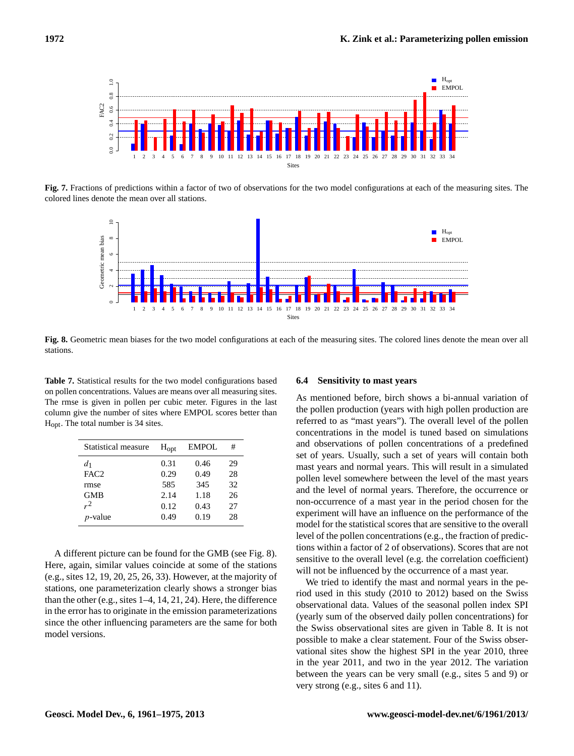

<span id="page-11-0"></span>**Fig. 7.** Fractions of predictions within a factor of two of observations for the two model configurations at each of the measuring sites. The colored lines denote the mean over all stations.



<span id="page-11-2"></span>**Fig. 8.** Geometric mean biases for the two model configurations at each of the measuring sites. The colored lines denote the mean over all stations.

<span id="page-11-1"></span>**Table 7.** Statistical results for the two model configurations based on pollen concentrations. Values are means over all measuring sites. The rmse is given in pollen per cubic meter. Figures in the last column give the number of sites where EMPOL scores better than Hopt. The total number is 34 sites.

| Statistical measure | $H_{opt}$ | EMPOL | #  |
|---------------------|-----------|-------|----|
| d <sub>1</sub>      | 0.31      | 0.46  | 29 |
| FAC <sub>2</sub>    | 0.29      | 0.49  | 28 |
| rmse                | 585       | 345   | 32 |
| <b>GMB</b>          | 2.14      | 1.18  | 26 |
| $^{\ast2}$          | 0.12      | 0.43  | 27 |
| <i>p</i> -value     | 0.49      | 0.19  | 28 |

A different picture can be found for the GMB (see Fig. [8\)](#page-11-2). Here, again, similar values coincide at some of the stations (e.g., sites 12, 19, 20, 25, 26, 33). However, at the majority of stations, one parameterization clearly shows a stronger bias than the other (e.g., sites 1–4, 14, 21, 24). Here, the difference in the error has to originate in the emission parameterizations since the other influencing parameters are the same for both model versions.

#### **6.4 Sensitivity to mast years**

As mentioned before, birch shows a bi-annual variation of the pollen production (years with high pollen production are referred to as "mast years"). The overall level of the pollen concentrations in the model is tuned based on simulations and observations of pollen concentrations of a predefined set of years. Usually, such a set of years will contain both mast years and normal years. This will result in a simulated pollen level somewhere between the level of the mast years and the level of normal years. Therefore, the occurrence or non-occurrence of a mast year in the period chosen for the experiment will have an influence on the performance of the model for the statistical scores that are sensitive to the overall level of the pollen concentrations (e.g., the fraction of predictions within a factor of 2 of observations). Scores that are not sensitive to the overall level (e.g. the correlation coefficient) will not be influenced by the occurrence of a mast year.

We tried to identify the mast and normal years in the period used in this study (2010 to 2012) based on the Swiss observational data. Values of the seasonal pollen index SPI (yearly sum of the observed daily pollen concentrations) for the Swiss observational sites are given in Table [8.](#page-12-1) It is not possible to make a clear statement. Four of the Swiss observational sites show the highest SPI in the year 2010, three in the year 2011, and two in the year 2012. The variation between the years can be very small (e.g., sites 5 and 9) or very strong (e.g., sites 6 and 11).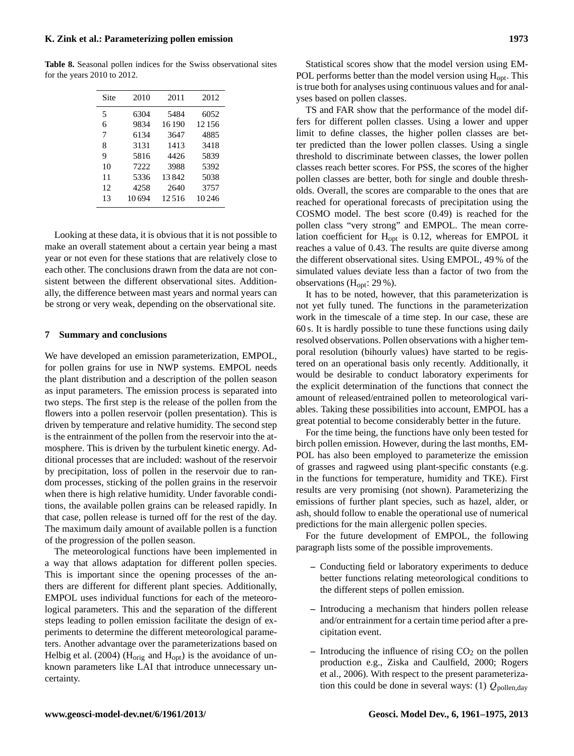<span id="page-12-1"></span>**Table 8.** Seasonal pollen indices for the Swiss observational sites for the years 2010 to 2012.

| Site | 2010  | 2011   | 2012  |
|------|-------|--------|-------|
| 5    | 6304  | 5484   | 6052  |
| 6    | 9834  | 16190  | 12156 |
| 7    | 6134  | 3647   | 4885  |
| 8    | 3131  | 1413   | 3418  |
| 9    | 5816  | 4426   | 5839  |
| 10   | 7222  | 3988   | 5392  |
| 11   | 5336  | 13842  | 5038  |
| 12   | 4258  | 2640   | 3757  |
| 13   | 10694 | 12.516 | 10246 |
|      |       |        |       |

Looking at these data, it is obvious that it is not possible to make an overall statement about a certain year being a mast year or not even for these stations that are relatively close to each other. The conclusions drawn from the data are not consistent between the different observational sites. Additionally, the difference between mast years and normal years can be strong or very weak, depending on the observational site.

## <span id="page-12-0"></span>**7 Summary and conclusions**

We have developed an emission parameterization, EMPOL, for pollen grains for use in NWP systems. EMPOL needs the plant distribution and a description of the pollen season as input parameters. The emission process is separated into two steps. The first step is the release of the pollen from the flowers into a pollen reservoir (pollen presentation). This is driven by temperature and relative humidity. The second step is the entrainment of the pollen from the reservoir into the atmosphere. This is driven by the turbulent kinetic energy. Additional processes that are included: washout of the reservoir by precipitation, loss of pollen in the reservoir due to random processes, sticking of the pollen grains in the reservoir when there is high relative humidity. Under favorable conditions, the available pollen grains can be released rapidly. In that case, pollen release is turned off for the rest of the day. The maximum daily amount of available pollen is a function of the progression of the pollen season.

The meteorological functions have been implemented in a way that allows adaptation for different pollen species. This is important since the opening processes of the anthers are different for different plant species. Additionally, EMPOL uses individual functions for each of the meteorological parameters. This and the separation of the different steps leading to pollen emission facilitate the design of experiments to determine the different meteorological parameters. Another advantage over the parameterizations based on [Helbig et al.](#page-13-3) [\(2004\)](#page-13-3) ( $H_{orig}$  and  $H_{opt}$ ) is the avoidance of unknown parameters like LAI that introduce unnecessary uncertainty.

Statistical scores show that the model version using EM-POL performs better than the model version using  $H_{opt}$ . This is true both for analyses using continuous values and for analyses based on pollen classes.

TS and FAR show that the performance of the model differs for different pollen classes. Using a lower and upper limit to define classes, the higher pollen classes are better predicted than the lower pollen classes. Using a single threshold to discriminate between classes, the lower pollen classes reach better scores. For PSS, the scores of the higher pollen classes are better, both for single and double thresholds. Overall, the scores are comparable to the ones that are reached for operational forecasts of precipitation using the COSMO model. The best score (0.49) is reached for the pollen class "very strong" and EMPOL. The mean correlation coefficient for  $H_{opt}$  is 0.12, whereas for EMPOL it reaches a value of 0.43. The results are quite diverse among the different observational sites. Using EMPOL, 49 % of the simulated values deviate less than a factor of two from the observations ( $H_{opt}$ : 29 %).

It has to be noted, however, that this parameterization is not yet fully tuned. The functions in the parameterization work in the timescale of a time step. In our case, these are 60 s. It is hardly possible to tune these functions using daily resolved observations. Pollen observations with a higher temporal resolution (bihourly values) have started to be registered on an operational basis only recently. Additionally, it would be desirable to conduct laboratory experiments for the explicit determination of the functions that connect the amount of released/entrained pollen to meteorological variables. Taking these possibilities into account, EMPOL has a great potential to become considerably better in the future.

For the time being, the functions have only been tested for birch pollen emission. However, during the last months, EM-POL has also been employed to parameterize the emission of grasses and ragweed using plant-specific constants (e.g. in the functions for temperature, humidity and TKE). First results are very promising (not shown). Parameterizing the emissions of further plant species, such as hazel, alder, or ash, should follow to enable the operational use of numerical predictions for the main allergenic pollen species.

For the future development of EMPOL, the following paragraph lists some of the possible improvements.

- **–** Conducting field or laboratory experiments to deduce better functions relating meteorological conditions to the different steps of pollen emission.
- **–** Introducing a mechanism that hinders pollen release and/or entrainment for a certain time period after a precipitation event.
- $-$  Introducing the influence of rising  $CO<sub>2</sub>$  on the pollen production e.g., [Ziska and Caulfield,](#page-14-17) [2000;](#page-14-17) [Rogers](#page-14-18) [et al.,](#page-14-18) [2006\)](#page-14-18). With respect to the present parameterization this could be done in several ways: (1)  $Q_{\text{pollen,day}}$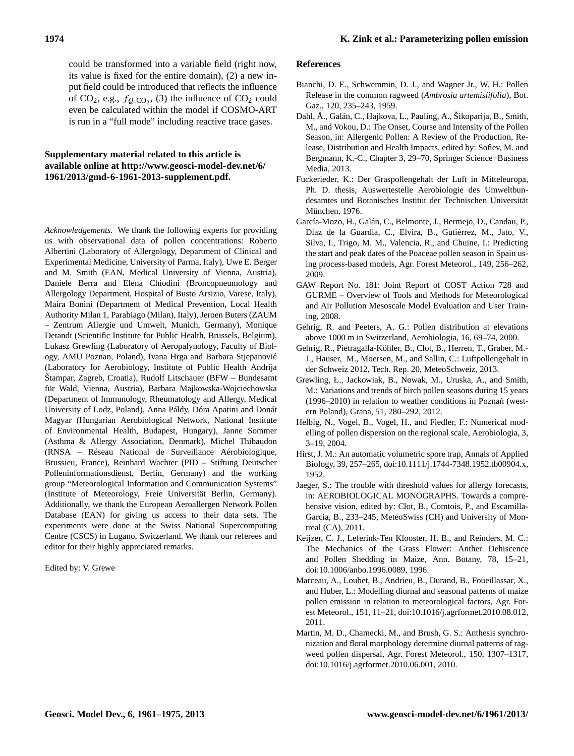could be transformed into a variable field (right now, its value is fixed for the entire domain), (2) a new input field could be introduced that reflects the influence of  $CO_2$ , e.g.,  $f_{Q,CO_2}$ , (3) the influence of  $CO_2$  could even be calculated within the model if COSMO-ART is run in a "full mode" including reactive trace gases.

# **Supplementary material related to this article is available online at [http://www.geosci-model-dev.net/6/](http://www.geosci-model-dev.net/6/1961/2013/gmd-6-1961-2013-supplement.pdf) [1961/2013/gmd-6-1961-2013-supplement.pdf.](http://www.geosci-model-dev.net/6/1961/2013/gmd-6-1961-2013-supplement.pdf)**

*Acknowledgements.* We thank the following experts for providing us with observational data of pollen concentrations: Roberto Albertini (Laboratory of Allergology, Department of Clinical and Experimental Medicine, University of Parma, Italy), Uwe E. Berger and M. Smith (EAN, Medical University of Vienna, Austria), Daniele Berra and Elena Chiodini (Broncopneumology and Allergology Department, Hospital of Busto Arsizio, Varese, Italy), Maira Bonini (Department of Medical Prevention, Local Health Authority Milan 1, Parabiago (Milan), Italy), Jeroen Buters (ZAUM – Zentrum Allergie und Umwelt, Munich, Germany), Monique Detandt (Scientific Institute for Public Health, Brussels, Belgium), Lukasz Grewling (Laboratory of Aeropalynology, Faculty of Biology, AMU Poznan, Poland), Ivana Hrga and Barbara Stjepanovic´ (Laboratory for Aerobiology, Institute of Public Health Andrija Štampar, Zagreb, Croatia), Rudolf Litschauer (BFW – Bundesamt für Wald, Vienna, Austria), Barbara Majkowska-Wojciechowska (Department of Immunology, Rheumatology and Allergy, Medical University of Lodz, Poland), Anna Páldy, Dóra Apatini and Donát Magyar (Hungarian Aerobiological Network, National Institute of Environmental Health, Budapest, Hungary), Janne Sommer (Asthma & Allergy Association, Denmark), Michel Thibaudon (RNSA – Réseau National de Surveillance Aérobiologique, Brussieu, France), Reinhard Wachter (PID – Stiftung Deutscher Polleninformationsdienst, Berlin, Germany) and the working group "Meteorological Information and Communication Systems" (Institute of Meteorology, Freie Universität Berlin, Germany). Additionally, we thank the European Aeroallergen Network Pollen Database (EAN) for giving us access to their data sets. The experiments were done at the Swiss National Supercomputing Centre (CSCS) in Lugano, Switzerland. We thank our referees and editor for their highly appreciated remarks.

Edited by: V. Grewe

# **References**

- <span id="page-13-2"></span>Bianchi, D. E., Schwemmin, D. J., and Wagner Jr., W. H.: Pollen Release in the common ragweed (*Ambrosia artemisiifolia*), Bot. Gaz., 120, 235–243, 1959.
- <span id="page-13-10"></span>Dahl, Å., Galán, C., Hajkova, L., Pauling, A., Šikoparija, B., Smith, M., and Vokou, D.: The Onset, Course and Intensity of the Pollen Season, in: Allergenic Pollen: A Review of the Production, Release, Distribution and Health Impacts, edited by: Sofiev, M. and Bergmann, K.-C., Chapter 3, 29–70, Springer Science+Business Media, 2013.
- <span id="page-13-8"></span>Fuckerieder, K.: Der Graspollengehalt der Luft in Mitteleuropa, Ph. D. thesis, Auswertestelle Aerobiologie des Umweltbundesamtes und Botanisches Institut der Technischen Universität München, 1976.
- <span id="page-13-1"></span>García-Mozo, H., Galán, C., Belmonte, J., Bermejo, D., Candau, P., Díaz de la Guardia, C., Elvira, B., Gutiérrez, M., Jato, V., Silva, I., Trigo, M. M., Valencia, R., and Chuine, I.: Predicting the start and peak dates of the Poaceae pollen season in Spain using process-based models, Agr. Forest Meteorol., 149, 256–262, 2009.
- <span id="page-13-13"></span>GAW Report No. 181: Joint Report of COST Action 728 and GURME – Overview of Tools and Methods for Meteorological and Air Pollution Mesoscale Model Evaluation and User Training, 2008.
- <span id="page-13-7"></span>Gehrig, R. and Peeters, A. G.: Pollen distribution at elevations above 1000 m in Switzerland, Aerobiologia, 16, 69–74, 2000.
- <span id="page-13-12"></span>Gehrig, R., Pietragalla-Köhler, B., Clot, B., Herren, T., Graber, M.- J., Hauser, M., Moersen, M., and Sallin, C.: Luftpollengehalt in der Schweiz 2012, Tech. Rep. 20, MeteoSchweiz, 2013.
- <span id="page-13-6"></span>Grewling, Ł., Jackowiak, B., Nowak, M., Uruska, A., and Smith, M.: Variations and trends of birch pollen seasons during 15 years (1996–2010) in relation to weather conditions in Poznań (western Poland), Grana, 51, 280–292, 2012.
- <span id="page-13-3"></span>Helbig, N., Vogel, B., Vogel, H., and Fiedler, F.: Numerical modelling of pollen dispersion on the regional scale, Aerobiologia, 3, 3–19, 2004.
- <span id="page-13-0"></span>Hirst, J. M.: An automatic volumetric spore trap, Annals of Applied Biology, 39, 257–265, doi[:10.1111/j.1744-7348.1952.tb00904.x,](http://dx.doi.org/10.1111/j.1744-7348.1952.tb00904.x) 1952.
- <span id="page-13-11"></span>Jaeger, S.: The trouble with threshold values for allergy forecasts, in: AEROBIOLOGICAL MONOGRAPHS. Towards a comprehensive vision, edited by: Clot, B., Comtois, P., and Escamilla-Garcia, B., 233–245, MeteoSwiss (CH) and University of Montreal (CA), 2011.
- <span id="page-13-9"></span>Keijzer, C. J., Leferink-Ten Klooster, H. B., and Reinders, M. C.: The Mechanics of the Grass Flower: Anther Dehiscence and Pollen Shedding in Maize, Ann. Botany, 78, 15–21, doi[:10.1006/anbo.1996.0089,](http://dx.doi.org/10.1006/anbo.1996.0089) 1996.
- <span id="page-13-4"></span>Marceau, A., Loubet, B., Andrieu, B., Durand, B., Foueillassar, X., and Huber, L.: Modelling diurnal and seasonal patterns of maize pollen emission in relation to meteorological factors, Agr. Forest Meteorol., 151, 11–21, doi[:10.1016/j.agrformet.2010.08.012,](http://dx.doi.org/10.1016/j.agrformet.2010.08.012) 2011.
- <span id="page-13-5"></span>Martin, M. D., Chamecki, M., and Brush, G. S.: Anthesis synchronization and floral morphology determine diurnal patterns of ragweed pollen dispersal, Agr. Forest Meteorol., 150, 1307–1317, doi[:10.1016/j.agrformet.2010.06.001,](http://dx.doi.org/10.1016/j.agrformet.2010.06.001) 2010.